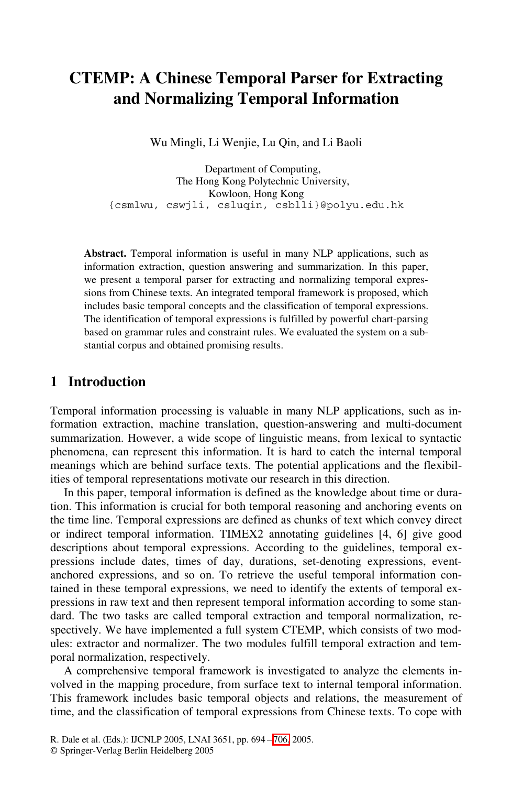# **CTEMP: A Chinese Temporal Parser for Extracting and Normalizing Temporal Information**

Wu Mingli, Li Wenjie, Lu Qin, and Li Baoli

Department of Computing, The Hong Kong Polytechnic University, Kowloon, Hong Kong {csmlwu, cswjli, csluqin, csblli}@polyu.edu.hk

**Abstract.** Temporal information is useful in many NLP applications, such as information extraction, question answering and summarization. In this paper, we present a temporal parser for extracting and normalizing temporal expressions from Chinese texts. An integrated temporal framework is proposed, which includes basic temporal concepts and the classification of temporal expressions. The identification of temporal expressions is fulfilled by powerful chart-parsing based on grammar rules and constraint rules. We evaluated the system on a substantial corpus and obtained promising results.

## **1 Introduction**

Temporal information processing is valuable in many NLP applications, such as information extraction, machine translation, question-answering and multi-document summarization. However, a wide scope of linguistic means, from lexical to syntactic phenomena, can represent this information. It is hard to catch the internal temporal meanings which are behind surface texts. The potential applications and the flexibilities of temporal representations motivate our research in this direction.

In this paper, temporal information is defined as the knowledge about time or duration. This information is crucial for both temporal reasoning and anchoring events on the time line. Temporal expressions are defined as chunks of text which convey direct or indirect temporal information. TIMEX2 annotating guidelines [4, 6] give good descriptions about temporal expressions. According to the guidelines, temporal expressions include dates, times of day, durations, set-denoting expressions, eventanchored expressions, and so on. To retrieve the useful temporal information contained in these temporal expressions, we need to identify the extents of temporal expressions in raw text and then represent temporal information according to some standard. The two tasks are called temporal extraction and temporal normalization, respectively. We have implemented a full system CTEMP, which consists of two modules: extractor and normalizer. The two modules fulfill temporal extraction and temporal normalization, respectively.

A comprehensive temporal framework is investigated to analyze the elements involved in the mapping procedure, from surface text to internal temporal information. This framework includes basic temporal objects and relations, the measurement of time, and the classification of temporal expressions from Chinese texts. To cope with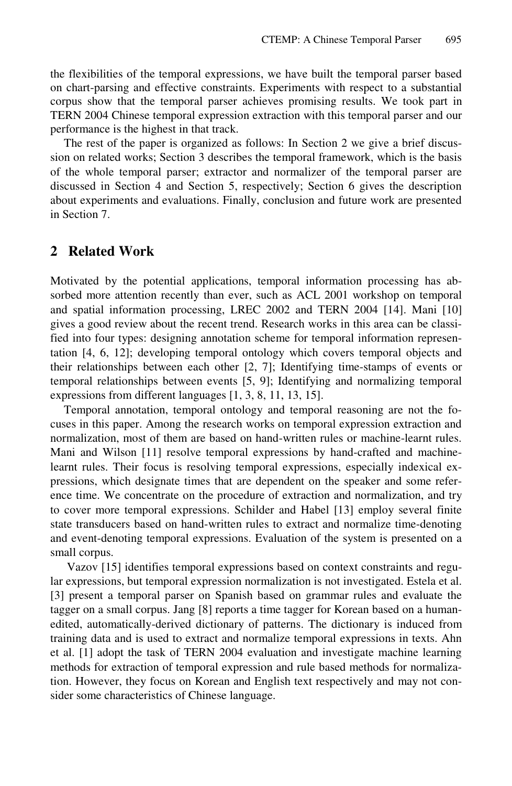the flexibilities of the temporal expressions, we have built the temporal parser based on chart-parsing and effective constraints. Experiments with respect to a substantial corpus show that the temporal parser achieves promising results. We took part in TERN 2004 Chinese temporal expression extraction with this temporal parser and our performance is the highest in that track.

The rest of the paper is organized as follows: In Section 2 we give a brief discussion on related works; Section 3 describes the temporal framework, which is the basis of the whole temporal parser; extractor and normalizer of the temporal parser are discussed in Section 4 and Section 5, respectively; Section 6 gives the description about experiments and evaluations. Finally, conclusion and future work are presented in Section 7.

#### **2 Related Work**

Motivated by the potential applications, temporal information processing has absorbed more attention recently than ever, such as ACL 2001 workshop on temporal and spatial information processing, LREC 2002 and TERN 2004 [14]. Mani [10] gives a good review about the recent trend. Research works in this area can be classified into four types: designing annotation scheme for temporal information representation [4, 6, 12]; developing temporal ontology which covers temporal objects and their relationships between each other [2, 7]; Identifying time-stamps of events or temporal relationships between events [5, 9]; Identifying and normalizing temporal expressions from different languages [1, 3, 8, 11, 13, 15].

Temporal annotation, temporal ontology and temporal reasoning are not the focuses in this paper. Among the research works on temporal expression extraction and normalization, most of them are based on hand-written rules or machine-learnt rules. Mani and Wilson [11] resolve temporal expressions by hand-crafted and machinelearnt rules. Their focus is resolving temporal expressions, especially indexical expressions, which designate times that are dependent on the speaker and some reference time. We concentrate on the procedure of extraction and normalization, and try to cover more temporal expressions. Schilder and Habel [13] employ several finite state transducers based on hand-written rules to extract and normalize time-denoting and event-denoting temporal expressions. Evaluation of the system is presented on a small corpus.

 Vazov [15] identifies temporal expressions based on context constraints and regular expressions, but temporal expression normalization is not investigated. Estela et al. [3] present a temporal parser on Spanish based on grammar rules and evaluate the tagger on a small corpus. Jang [8] reports a time tagger for Korean based on a humanedited, automatically-derived dictionary of patterns. The dictionary is induced from training data and is used to extract and normalize temporal expressions in texts. Ahn et al. [1] adopt the task of TERN 2004 evaluation and investigate machine learning methods for extraction of temporal expression and rule based methods for normalization. However, they focus on Korean and English text respectively and may not consider some characteristics of Chinese language.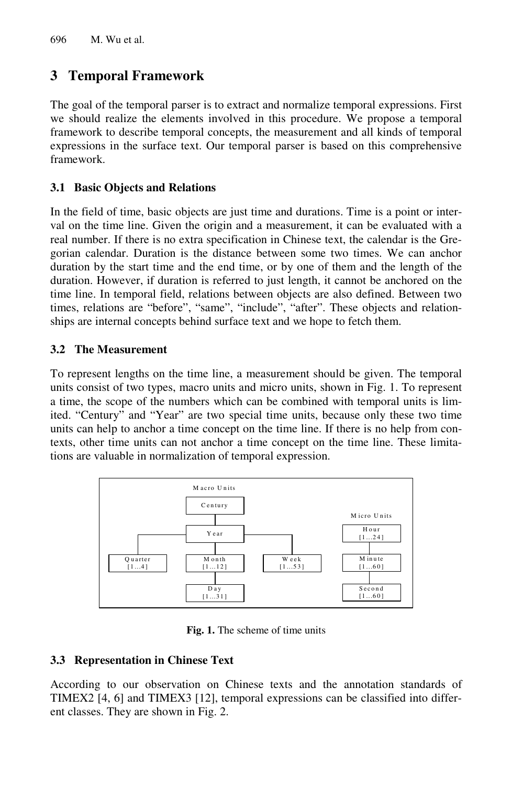# **3 Temporal Framework**

The goal of the temporal parser is to extract and normalize temporal expressions. First we should realize the elements involved in this procedure. We propose a temporal framework to describe temporal concepts, the measurement and all kinds of temporal expressions in the surface text. Our temporal parser is based on this comprehensive framework.

### **3.1 Basic Objects and Relations**

In the field of time, basic objects are just time and durations. Time is a point or interval on the time line. Given the origin and a measurement, it can be evaluated with a real number. If there is no extra specification in Chinese text, the calendar is the Gregorian calendar. Duration is the distance between some two times. We can anchor duration by the start time and the end time, or by one of them and the length of the duration. However, if duration is referred to just length, it cannot be anchored on the time line. In temporal field, relations between objects are also defined. Between two times, relations are "before", "same", "include", "after". These objects and relationships are internal concepts behind surface text and we hope to fetch them.

### **3.2 The Measurement**

To represent lengths on the time line, a measurement should be given. The temporal units consist of two types, macro units and micro units, shown in Fig. 1. To represent a time, the scope of the numbers which can be combined with temporal units is limited. "Century" and "Year" are two special time units, because only these two time units can help to anchor a time concept on the time line. If there is no help from contexts, other time units can not anchor a time concept on the time line. These limitations are valuable in normalization of temporal expression.



**Fig. 1.** The scheme of time units

### **3.3 Representation in Chinese Text**

According to our observation on Chinese texts and the annotation standards of TIMEX2 [4, 6] and TIMEX3 [12], temporal expressions can be classified into different classes. They are shown in Fig. 2.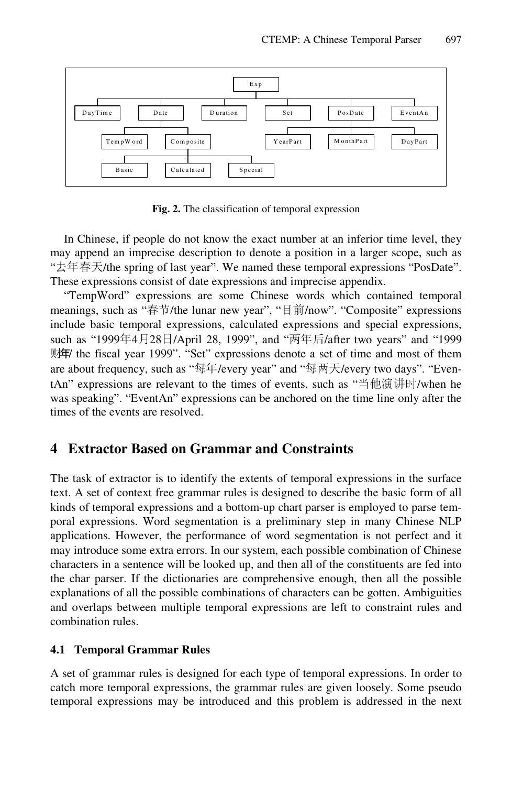

**Fig. 2.** The classification of temporal expression

In Chinese, if people do not know the exact number at an inferior time level, they may append an imprecise description to denote a position in a larger scope, such as "去年春天/the spring of last year". We named these temporal expressions "PosDate". These expressions consist of date expressions and imprecise appendix.

"TempWord" expressions are some Chinese words which contained temporal meanings, such as "春节/the lunar new year", "目前/now". "Composite" expressions include basic temporal expressions, calculated expressions and special expressions, such as "1999年4月28日/April 28, 1999", and "两年后/after two years" and "1999 财年/ the fiscal year 1999". "Set" expressions denote a set of time and most of them are about frequency, such as "每年/every year" and "每两天/every two days". "EventAn" expressions are relevant to the times of events, such as "当他演讲时/when he was speaking". "EventAn" expressions can be anchored on the time line only after the times of the events are resolved.

## **4 Extractor Based on Grammar and Constraints**

The task of extractor is to identify the extents of temporal expressions in the surface text. A set of context free grammar rules is designed to describe the basic form of all kinds of temporal expressions and a bottom-up chart parser is employed to parse temporal expressions. Word segmentation is a preliminary step in many Chinese NLP applications. However, the performance of word segmentation is not perfect and it may introduce some extra errors. In our system, each possible combination of Chinese characters in a sentence will be looked up, and then all of the constituents are fed into the char parser. If the dictionaries are comprehensive enough, then all the possible explanations of all the possible combinations of characters can be gotten. Ambiguities and overlaps between multiple temporal expressions are left to constraint rules and combination rules.

#### **4.1 Temporal Grammar Rules**

A set of grammar rules is designed for each type of temporal expressions. In order to catch more temporal expressions, the grammar rules are given loosely. Some pseudo temporal expressions may be introduced and this problem is addressed in the next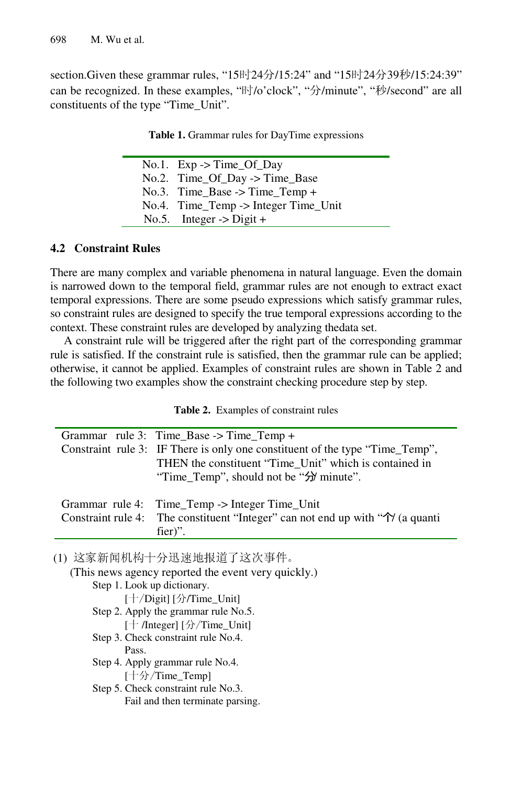section.Given these grammar rules, "15时24分/15:24" and "15时24分39秒/15:24:39" can be recognized. In these examples, "时/o'clock", "分/minute", "秒/second" are all constituents of the type "Time\_Unit".

|  | No.1. $Exp \rightarrow Time\_Of\_Day$  |
|--|----------------------------------------|
|  | No.2. Time_Of_Day -> Time_Base         |
|  | No.3. Time_Base -> Time_Temp +         |
|  | $No.4.$ Time Temp -> Integer Time Unit |
|  | No.5. Integer $\rightarrow$ Digit +    |

#### **Table 1.** Grammar rules for DayTime expressions

#### **4.2 Constraint Rules**

There are many complex and variable phenomena in natural language. Even the domain is narrowed down to the temporal field, grammar rules are not enough to extract exact temporal expressions. There are some pseudo expressions which satisfy grammar rules, so constraint rules are designed to specify the true temporal expressions according to the context. These constraint rules are developed by analyzing thedata set.

A constraint rule will be triggered after the right part of the corresponding grammar rule is satisfied. If the constraint rule is satisfied, then the grammar rule can be applied; otherwise, it cannot be applied. Examples of constraint rules are shown in Table 2 and the following two examples show the constraint checking procedure step by step.

**Table 2.** Examples of constraint rules

| Grammar rule 3: Time_Base $\rightarrow$ Time_Temp +                                           |  |  |  |
|-----------------------------------------------------------------------------------------------|--|--|--|
| Constraint rule 3: IF There is only one constituent of the type "Time_Temp",                  |  |  |  |
| THEN the constituent "Time Unit" which is contained in                                        |  |  |  |
| "Time_Temp", should not be "分 minute".                                                        |  |  |  |
|                                                                                               |  |  |  |
| Grammar rule 4: Time_Temp -> Integer Time_Unit                                                |  |  |  |
| Constraint rule 4: The constituent "Integer" can not end up with " $\hat{\gamma}$ " (a quanti |  |  |  |
| fier)".                                                                                       |  |  |  |
|                                                                                               |  |  |  |

(1) 这家新闻机构十分迅速地报道了这次事件。

| (This news agency reported the event very quickly.) |
|-----------------------------------------------------|
| Step 1. Look up dictionary.                         |
| [十/Digit] [分/Time_Unit]                             |
| Step 2. Apply the grammar rule No.5.                |
| [十 /Integer] [分/Time_Unit]                          |
| Step 3. Check constraint rule No.4.                 |
| Pass.                                               |
| Step 4. Apply grammar rule No.4.                    |
| [十分/Time_Temp]                                      |
| Step 5. Check constraint rule No.3.                 |
| Fail and then terminate parsing.                    |
|                                                     |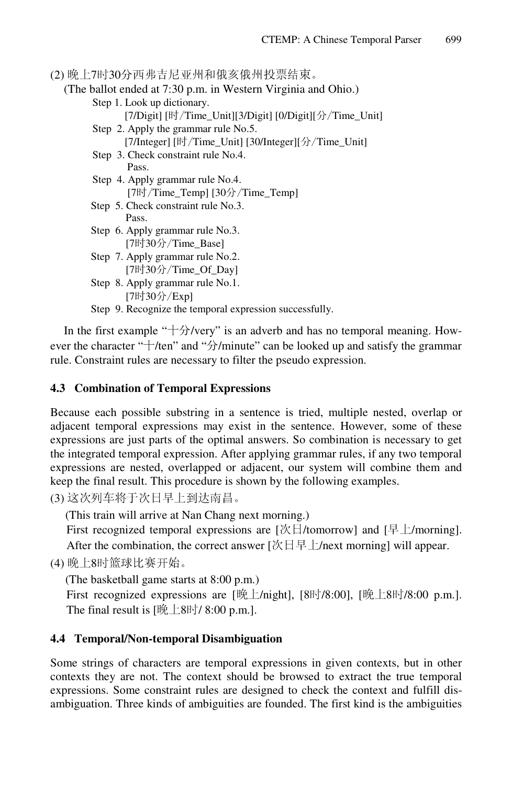(2) 晚上7时30分西弗吉尼亚州和俄亥俄州投票结束。

(The ballot ended at 7:30 p.m. in Western Virginia and Ohio.)

- Step 1. Look up dictionary. [7/Digit] [时/Time\_Unit][3/Digit] [0/Digit][分/Time\_Unit] Step 2. Apply the grammar rule No.5.
	- [7/Integer] [时/Time\_Unit] [30/Integer][分/Time\_Unit]
- Step 3. Check constraint rule No.4. Pass.
- Step 4. Apply grammar rule No.4. [7时/Time\_Temp] [30分/Time\_Temp]
- Step 5. Check constraint rule No.3. Pass.
- Step 6. Apply grammar rule No.3. [7时30分/Time\_Base]
- Step 7. Apply grammar rule No.2. [7时30分/Time\_Of\_Day]
- Step 8. Apply grammar rule No.1. [7时30分/Exp]
- Step 9. Recognize the temporal expression successfully.

In the first example " $+\frac{1}{2}$ /very" is an adverb and has no temporal meaning. However the character "十/ten" and "分/minute" can be looked up and satisfy the grammar rule. Constraint rules are necessary to filter the pseudo expression.

#### **4.3 Combination of Temporal Expressions**

Because each possible substring in a sentence is tried, multiple nested, overlap or adjacent temporal expressions may exist in the sentence. However, some of these expressions are just parts of the optimal answers. So combination is necessary to get the integrated temporal expression. After applying grammar rules, if any two temporal expressions are nested, overlapped or adjacent, our system will combine them and keep the final result. This procedure is shown by the following examples.

(3) 这次列车将于次日早上到达南昌。

(This train will arrive at Nan Chang next morning.)

First recognized temporal expressions are  $[\mathcal{K}]$ /tomorrow] and  $[\frac{1}{\mathcal{F}}]$ /morning]. After the combination, the correct answer  $[\mathcal{K} \boxminus \frac{1}{2} \mathcal{L}$  /next morning] will appear.

(4) 晚上8时篮球比赛开始。

(The basketball game starts at 8:00 p.m.)

First recognized expressions are [晚上/night], [8时/8:00], [晚上8时/8:00 p.m.]. The final result is  $[\frac{100 \text{ m/s}}{200 \text{ m/s}}]$ .

### **4.4 Temporal/Non-temporal Disambiguation**

Some strings of characters are temporal expressions in given contexts, but in other contexts they are not. The context should be browsed to extract the true temporal expressions. Some constraint rules are designed to check the context and fulfill disambiguation. Three kinds of ambiguities are founded. The first kind is the ambiguities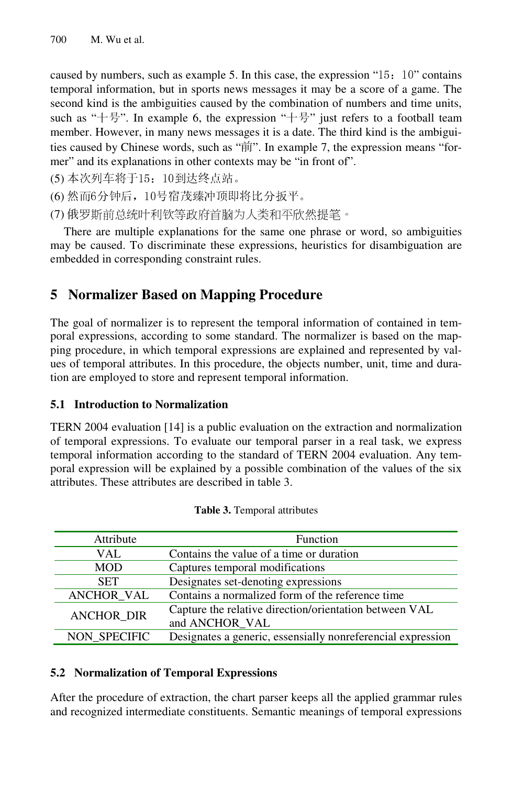caused by numbers, such as example 5. In this case, the expression "15: 10" contains temporal information, but in sports news messages it may be a score of a game. The second kind is the ambiguities caused by the combination of numbers and time units, such as "十号". In example 6, the expression "十号" just refers to a football team member. However, in many news messages it is a date. The third kind is the ambiguities caused by Chinese words, such as "前". In example 7, the expression means "former" and its explanations in other contexts may be "in front of".

(5) 本次列车将于15:10到达终点站。

(6) 然而6分钟后,10号宿茂臻冲顶即将比分扳平。

(7) 俄罗斯前总统叶利钦等政府首脑为人类和平欣然提笔。

There are multiple explanations for the same one phrase or word, so ambiguities may be caused. To discriminate these expressions, heuristics for disambiguation are embedded in corresponding constraint rules.

# **5 Normalizer Based on Mapping Procedure**

The goal of normalizer is to represent the temporal information of contained in temporal expressions, according to some standard. The normalizer is based on the mapping procedure, in which temporal expressions are explained and represented by values of temporal attributes. In this procedure, the objects number, unit, time and duration are employed to store and represent temporal information.

### **5.1 Introduction to Normalization**

TERN 2004 evaluation [14] is a public evaluation on the extraction and normalization of temporal expressions. To evaluate our temporal parser in a real task, we express temporal information according to the standard of TERN 2004 evaluation. Any temporal expression will be explained by a possible combination of the values of the six attributes. These attributes are described in table 3.

| Attribute         | <b>Function</b>                                                          |
|-------------------|--------------------------------------------------------------------------|
| VAL.              | Contains the value of a time or duration                                 |
| <b>MOD</b>        | Captures temporal modifications                                          |
| <b>SET</b>        | Designates set-denoting expressions                                      |
| <b>ANCHOR_VAL</b> | Contains a normalized form of the reference time                         |
| <b>ANCHOR DIR</b> | Capture the relative direction/orientation between VAL<br>and ANCHOR VAL |
| NON SPECIFIC      | Designates a generic, essensially nonreferencial expression              |

**Table 3.** Temporal attributes

#### **5.2 Normalization of Temporal Expressions**

After the procedure of extraction, the chart parser keeps all the applied grammar rules and recognized intermediate constituents. Semantic meanings of temporal expressions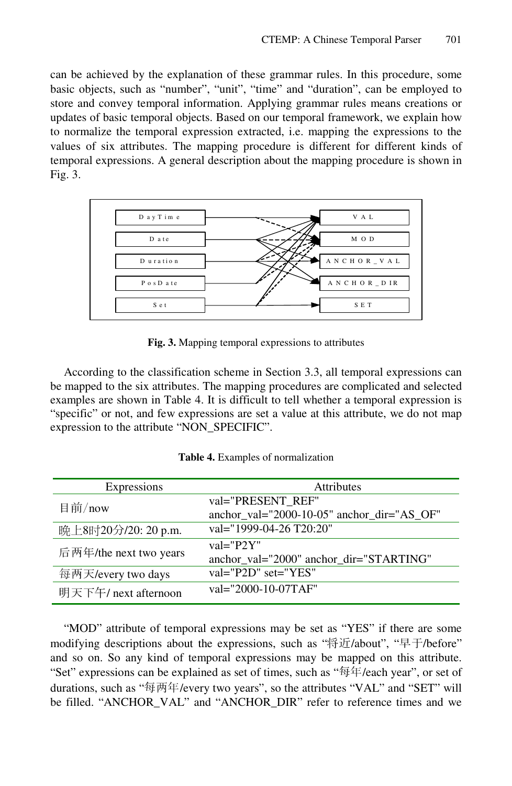can be achieved by the explanation of these grammar rules. In this procedure, some basic objects, such as "number", "unit", "time" and "duration", can be employed to store and convey temporal information. Applying grammar rules means creations or updates of basic temporal objects. Based on our temporal framework, we explain how to normalize the temporal expression extracted, i.e. mapping the expressions to the values of six attributes. The mapping procedure is different for different kinds of temporal expressions. A general description about the mapping procedure is shown in Fig. 3.



**Fig. 3.** Mapping temporal expressions to attributes

According to the classification scheme in Section 3.3, all temporal expressions can be mapped to the six attributes. The mapping procedures are complicated and selected examples are shown in Table 4. It is difficult to tell whether a temporal expression is "specific" or not, and few expressions are set a value at this attribute, we do not map expression to the attribute "NON\_SPECIFIC".

| Expressions            | <b>Attributes</b>                                               |
|------------------------|-----------------------------------------------------------------|
| 目前/now                 | val="PRESENT REF"<br>anchor_val="2000-10-05" anchor_dir="AS_OF" |
| 晚上8时20分/20: 20 p.m.    | val="1999-04-26 T20:20"                                         |
| 后两年/the next two years | $val = "P2Y"$<br>anchor_val="2000" anchor_dir="STARTING"        |
| 每两天/every two days     | $val="P2D" set="YES"$                                           |
| 明天下午/ next afternoon   | val="2000-10-07TAF"                                             |
|                        |                                                                 |

**Table 4.** Examples of normalization

"MOD" attribute of temporal expressions may be set as "YES" if there are some modifying descriptions about the expressions, such as "将近/about", "早于/before" and so on. So any kind of temporal expressions may be mapped on this attribute. "Set" expressions can be explained as set of times, such as "每年/each year", or set of durations, such as "每两年/every two years", so the attributes "VAL" and "SET" will be filled. "ANCHOR\_VAL" and "ANCHOR\_DIR" refer to reference times and we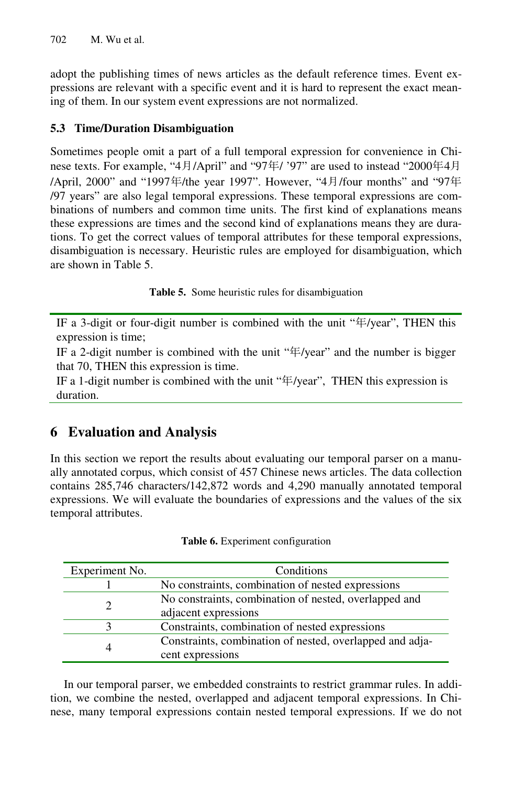adopt the publishing times of news articles as the default reference times. Event expressions are relevant with a specific event and it is hard to represent the exact meaning of them. In our system event expressions are not normalized.

### **5.3 Time/Duration Disambiguation**

Sometimes people omit a part of a full temporal expression for convenience in Chinese texts. For example, "4月/April" and "97年/ '97" are used to instead "2000年4<sup>月</sup> /April, 2000" and "1997年/the year 1997". However, "4月/four months" and "97<sup>年</sup> /97 years" are also legal temporal expressions. These temporal expressions are combinations of numbers and common time units. The first kind of explanations means these expressions are times and the second kind of explanations means they are durations. To get the correct values of temporal attributes for these temporal expressions, disambiguation is necessary. Heuristic rules are employed for disambiguation, which are shown in Table 5.

**Table 5.** Some heuristic rules for disambiguation

IF a 3-digit or four-digit number is combined with the unit "年/year", THEN this expression is time;

IF a 2-digit number is combined with the unit "年/year" and the number is bigger that 70, THEN this expression is time.

IF a 1-digit number is combined with the unit "年/year", THEN this expression is duration.

# **6 Evaluation and Analysis**

In this section we report the results about evaluating our temporal parser on a manually annotated corpus, which consist of 457 Chinese news articles. The data collection contains 285,746 characters/142,872 words and 4,290 manually annotated temporal expressions. We will evaluate the boundaries of expressions and the values of the six temporal attributes.

| Experiment No. | Conditions                                               |
|----------------|----------------------------------------------------------|
|                | No constraints, combination of nested expressions        |
| $\overline{2}$ | No constraints, combination of nested, overlapped and    |
|                | adjacent expressions                                     |
| 3              | Constraints, combination of nested expressions           |
| 4              | Constraints, combination of nested, overlapped and adja- |
|                | cent expressions                                         |

**Table 6.** Experiment configuration

In our temporal parser, we embedded constraints to restrict grammar rules. In addition, we combine the nested, overlapped and adjacent temporal expressions. In Chinese, many temporal expressions contain nested temporal expressions. If we do not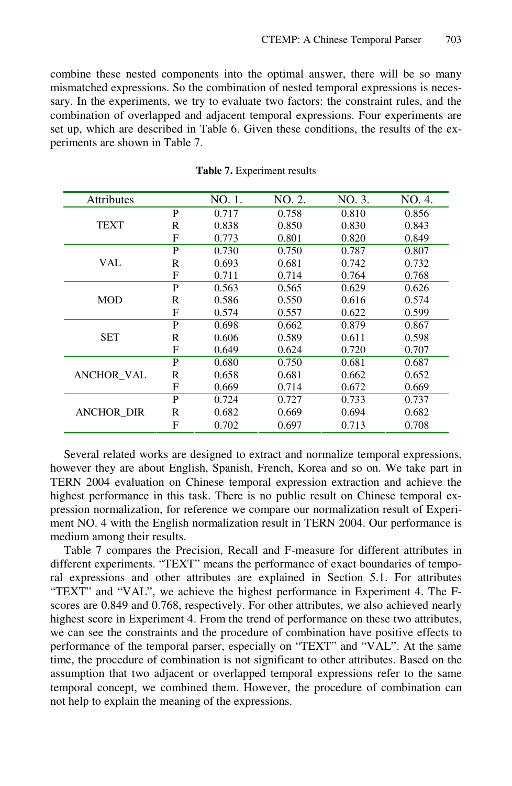combine these nested components into the optimal answer, there will be so many mismatched expressions. So the combination of nested temporal expressions is necessary. In the experiments, we try to evaluate two factors: the constraint rules, and the combination of overlapped and adjacent temporal expressions. Four experiments are set up, which are described in Table 6. Given these conditions, the results of the experiments are shown in Table 7.

| <b>Attributes</b> |   | NO. 1. | NO. 2. | NO. 3. | NO. 4. |
|-------------------|---|--------|--------|--------|--------|
|                   | P | 0.717  | 0.758  | 0.810  | 0.856  |
| <b>TEXT</b>       | R | 0.838  | 0.850  | 0.830  | 0.843  |
|                   | F | 0.773  | 0.801  | 0.820  | 0.849  |
|                   | P | 0.730  | 0.750  | 0.787  | 0.807  |
| VAL               | R | 0.693  | 0.681  | 0.742  | 0.732  |
|                   | F | 0.711  | 0.714  | 0.764  | 0.768  |
|                   | P | 0.563  | 0.565  | 0.629  | 0.626  |
| <b>MOD</b>        | R | 0.586  | 0.550  | 0.616  | 0.574  |
|                   | F | 0.574  | 0.557  | 0.622  | 0.599  |
|                   | P | 0.698  | 0.662  | 0.879  | 0.867  |
| <b>SET</b>        | R | 0.606  | 0.589  | 0.611  | 0.598  |
|                   | F | 0.649  | 0.624  | 0.720  | 0.707  |
|                   | P | 0.680  | 0.750  | 0.681  | 0.687  |
| <b>ANCHOR VAL</b> | R | 0.658  | 0.681  | 0.662  | 0.652  |
|                   | F | 0.669  | 0.714  | 0.672  | 0.669  |
|                   | P | 0.724  | 0.727  | 0.733  | 0.737  |
| <b>ANCHOR_DIR</b> | R | 0.682  | 0.669  | 0.694  | 0.682  |
|                   | F | 0.702  | 0.697  | 0.713  | 0.708  |

**Table 7.** Experiment results

Several related works are designed to extract and normalize temporal expressions, however they are about English, Spanish, French, Korea and so on. We take part in TERN 2004 evaluation on Chinese temporal expression extraction and achieve the highest performance in this task. There is no public result on Chinese temporal expression normalization, for reference we compare our normalization result of Experiment NO. 4 with the English normalization result in TERN 2004. Our performance is medium among their results.

Table 7 compares the Precision, Recall and F-measure for different attributes in different experiments. "TEXT" means the performance of exact boundaries of temporal expressions and other attributes are explained in Section 5.1. For attributes "TEXT" and "VAL", we achieve the highest performance in Experiment 4. The Fscores are 0.849 and 0.768, respectively. For other attributes, we also achieved nearly highest score in Experiment 4. From the trend of performance on these two attributes, we can see the constraints and the procedure of combination have positive effects to performance of the temporal parser, especially on "TEXT" and "VAL". At the same time, the procedure of combination is not significant to other attributes. Based on the assumption that two adjacent or overlapped temporal expressions refer to the same temporal concept, we combined them. However, the procedure of combination can not help to explain the meaning of the expressions.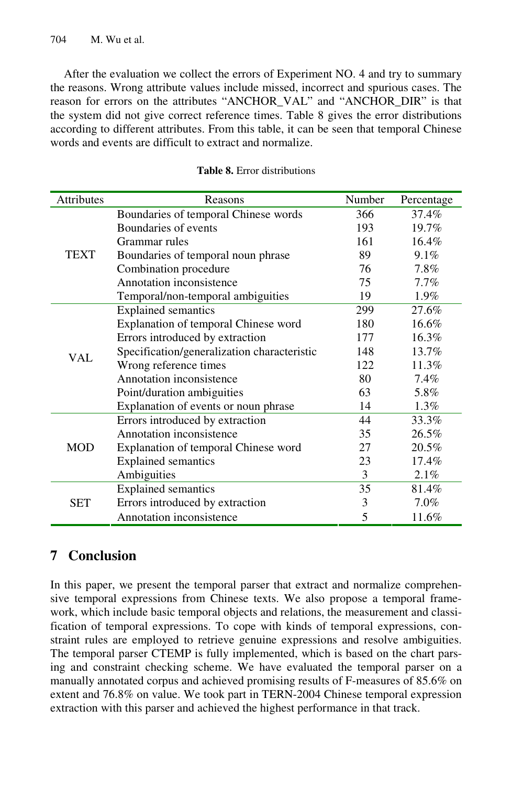After the evaluation we collect the errors of Experiment NO. 4 and try to summary the reasons. Wrong attribute values include missed, incorrect and spurious cases. The reason for errors on the attributes "ANCHOR\_VAL" and "ANCHOR\_DIR" is that the system did not give correct reference times. Table 8 gives the error distributions according to different attributes. From this table, it can be seen that temporal Chinese words and events are difficult to extract and normalize.

| <b>Attributes</b> | Reasons                                     | Number | Percentage |
|-------------------|---------------------------------------------|--------|------------|
|                   | Boundaries of temporal Chinese words        | 366    | 37.4%      |
|                   | Boundaries of events                        | 193    | 19.7%      |
|                   | Grammar rules                               | 161    | $16.4\%$   |
| <b>TEXT</b>       | Boundaries of temporal noun phrase          | 89     | 9.1%       |
|                   | Combination procedure                       | 76     | 7.8%       |
|                   | Annotation inconsistence                    | 75     | 7.7%       |
|                   | Temporal/non-temporal ambiguities           | 19     | 1.9%       |
|                   | <b>Explained semantics</b>                  | 299    | 27.6%      |
|                   | Explanation of temporal Chinese word        | 180    | 16.6%      |
|                   | Errors introduced by extraction             | 177    | 16.3%      |
| <b>VAL</b>        | Specification/generalization characteristic | 148    | 13.7%      |
|                   | Wrong reference times                       | 122    | 11.3%      |
|                   | Annotation inconsistence                    | 80     | 7.4%       |
|                   | Point/duration ambiguities                  | 63     | 5.8%       |
|                   | Explanation of events or noun phrase        | 14     | 1.3%       |
|                   | Errors introduced by extraction             | 44     | 33.3%      |
|                   | Annotation inconsistence                    | 35     | 26.5%      |
| <b>MOD</b>        | Explanation of temporal Chinese word        | 27     | 20.5%      |
|                   | <b>Explained semantics</b>                  | 23     | 17.4%      |
|                   | Ambiguities                                 | 3      | 2.1%       |
|                   | <b>Explained semantics</b>                  | 35     | 81.4%      |
| <b>SET</b>        | Errors introduced by extraction             | 3      | 7.0%       |
|                   | Annotation inconsistence                    | 5      | 11.6%      |

#### **Table 8.** Error distributions

# **7 Conclusion**

In this paper, we present the temporal parser that extract and normalize comprehensive temporal expressions from Chinese texts. We also propose a temporal framework, which include basic temporal objects and relations, the measurement and classification of temporal expressions. To cope with kinds of temporal expressions, constraint rules are employed to retrieve genuine expressions and resolve ambiguities. The temporal parser CTEMP is fully implemented, which is based on the chart parsing and constraint checking scheme. We have evaluated the temporal parser on a manually annotated corpus and achieved promising results of F-measures of 85.6% on extent and 76.8% on value. We took part in TERN-2004 Chinese temporal expression extraction with this parser and achieved the highest performance in that track.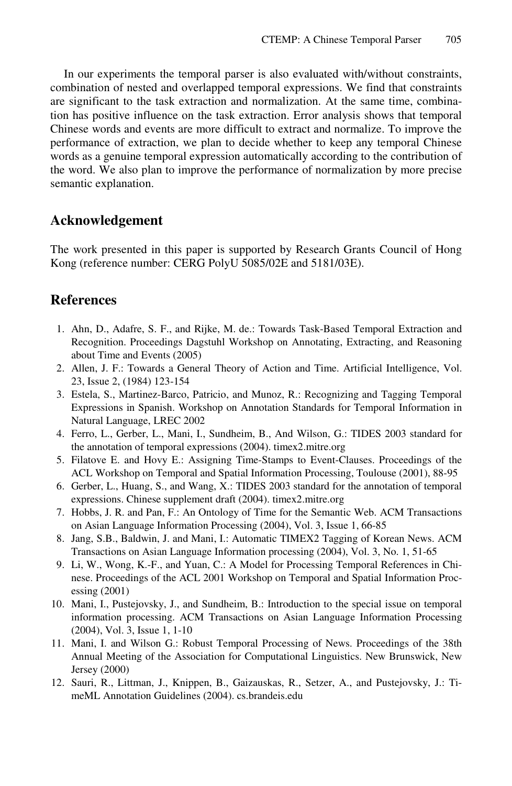In our experiments the temporal parser is also evaluated with/without constraints, combination of nested and overlapped temporal expressions. We find that constraints are significant to the task extraction and normalization. At the same time, combination has positive influence on the task extraction. Error analysis shows that temporal Chinese words and events are more difficult to extract and normalize. To improve the performance of extraction, we plan to decide whether to keep any temporal Chinese words as a genuine temporal expression automatically according to the contribution of the word. We also plan to improve the performance of normalization by more precise semantic explanation.

#### **Acknowledgement**

The work presented in this paper is supported by Research Grants Council of Hong Kong (reference number: CERG PolyU 5085/02E and 5181/03E).

### **References**

- 1. Ahn, D., Adafre, S. F., and Rijke, M. de.: Towards Task-Based Temporal Extraction and Recognition. Proceedings Dagstuhl Workshop on Annotating, Extracting, and Reasoning about Time and Events (2005)
- 2. Allen, J. F.: Towards a General Theory of Action and Time. Artificial Intelligence, Vol. 23, Issue 2, (1984) 123-154
- 3. Estela, S., Martinez-Barco, Patricio, and Munoz, R.: Recognizing and Tagging Temporal Expressions in Spanish. Workshop on Annotation Standards for Temporal Information in Natural Language, LREC 2002
- 4. Ferro, L., Gerber, L., Mani, I., Sundheim, B., And Wilson, G.: TIDES 2003 standard for the annotation of temporal expressions (2004). timex2.mitre.org
- 5. Filatove E. and Hovy E.: Assigning Time-Stamps to Event-Clauses. Proceedings of the ACL Workshop on Temporal and Spatial Information Processing, Toulouse (2001), 88-95
- 6. Gerber, L., Huang, S., and Wang, X.: TIDES 2003 standard for the annotation of temporal expressions. Chinese supplement draft (2004). timex2.mitre.org
- 7. Hobbs, J. R. and Pan, F.: An Ontology of Time for the Semantic Web. ACM Transactions on Asian Language Information Processing (2004), Vol. 3, Issue 1, 66-85
- 8. Jang, S.B., Baldwin, J. and Mani, I.: Automatic TIMEX2 Tagging of Korean News. ACM Transactions on Asian Language Information processing (2004), Vol. 3, No. 1, 51-65
- 9. Li, W., Wong, K.-F., and Yuan, C.: A Model for Processing Temporal References in Chinese. Proceedings of the ACL 2001 Workshop on Temporal and Spatial Information Processing (2001)
- 10. Mani, I., Pustejovsky, J., and Sundheim, B.: Introduction to the special issue on temporal information processing. ACM Transactions on Asian Language Information Processing (2004), Vol. 3, Issue 1, 1-10
- 11. Mani, I. and Wilson G.: Robust Temporal Processing of News. Proceedings of the 38th Annual Meeting of the Association for Computational Linguistics. New Brunswick, New Jersey (2000)
- 12. Sauri, R., Littman, J., Knippen, B., Gaizauskas, R., Setzer, A., and Pustejovsky, J.: TimeML Annotation Guidelines (2004). cs.brandeis.edu